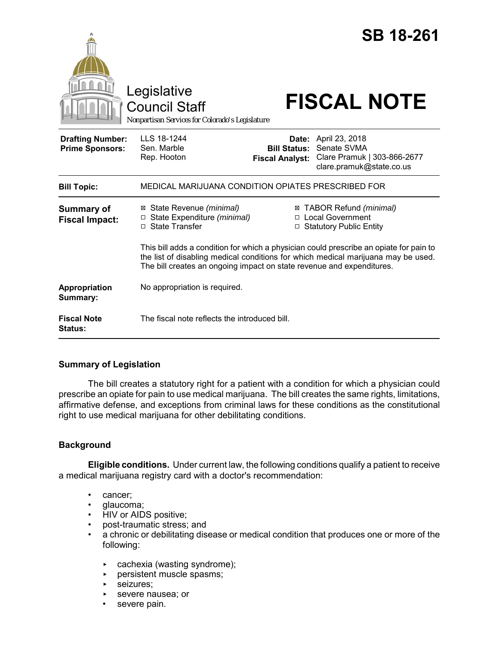|                                                   | Legislative<br><b>Council Staff</b><br>Nonpartisan Services for Colorado's Legislature                                                                     |                                               | <b>SB 18-261</b><br><b>FISCAL NOTE</b>                                                                                                                              |
|---------------------------------------------------|------------------------------------------------------------------------------------------------------------------------------------------------------------|-----------------------------------------------|---------------------------------------------------------------------------------------------------------------------------------------------------------------------|
| <b>Drafting Number:</b><br><b>Prime Sponsors:</b> | LLS 18-1244<br>Sen. Marble<br>Rep. Hooton                                                                                                                  | <b>Bill Status:</b><br><b>Fiscal Analyst:</b> | Date: April 23, 2018<br>Senate SVMA<br>Clare Pramuk   303-866-2677<br>clare.pramuk@state.co.us                                                                      |
| <b>Bill Topic:</b>                                | MEDICAL MARIJUANA CONDITION OPIATES PRESCRIBED FOR                                                                                                         |                                               |                                                                                                                                                                     |
| <b>Summary of</b><br><b>Fiscal Impact:</b>        | ⊠ State Revenue (minimal)<br>State Expenditure (minimal)<br>□ State Transfer                                                                               | Ø                                             | TABOR Refund (minimal)<br>□ Local Government<br>□ Statutory Public Entity<br>This bill adds a condition for which a physician could prescribe an opiate for pain to |
|                                                   | the list of disabling medical conditions for which medical marijuana may be used.<br>The bill creates an ongoing impact on state revenue and expenditures. |                                               |                                                                                                                                                                     |
| Appropriation<br>Summary:                         | No appropriation is required.                                                                                                                              |                                               |                                                                                                                                                                     |
| <b>Fiscal Note</b><br><b>Status:</b>              | The fiscal note reflects the introduced bill.                                                                                                              |                                               |                                                                                                                                                                     |

# **Summary of Legislation**

The bill creates a statutory right for a patient with a condition for which a physician could prescribe an opiate for pain to use medical marijuana. The bill creates the same rights, limitations, affirmative defense, and exceptions from criminal laws for these conditions as the constitutional right to use medical marijuana for other debilitating conditions.

# **Background**

**Eligible conditions.** Under current law, the following conditions qualify a patient to receive a medical marijuana registry card with a doctor's recommendation:

- cancer;
- glaucoma;
- HIV or AIDS positive;
- post-traumatic stress; and
- a chronic or debilitating disease or medical condition that produces one or more of the following:
	- $\triangleright$  cachexia (wasting syndrome);
	- **PERCIFY FIGURE:** persistent muscle spasms;
	- **EXECUTE:**
	- **EXECUTE:** Severe nausea; or
	- severe pain.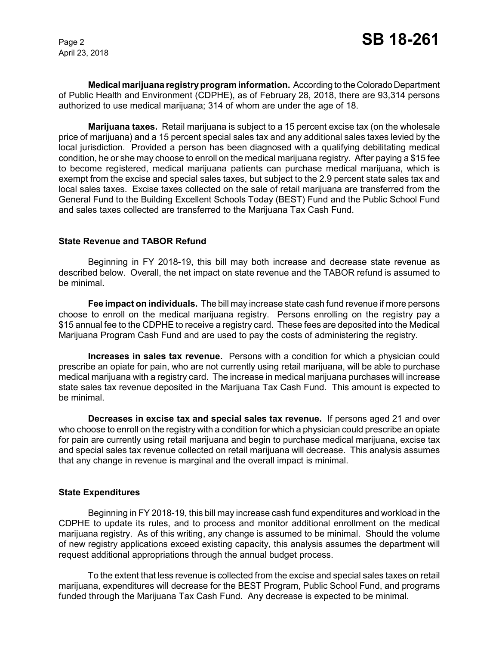April 23, 2018

**Medical marijuana registry program information.** According to the Colorado Department of Public Health and Environment (CDPHE), as of February 28, 2018, there are 93,314 persons authorized to use medical marijuana; 314 of whom are under the age of 18.

**Marijuana taxes.** Retail marijuana is subject to a 15 percent excise tax (on the wholesale price of marijuana) and a 15 percent special sales tax and any additional sales taxes levied by the local jurisdiction. Provided a person has been diagnosed with a qualifying debilitating medical condition, he or she may choose to enroll on the medical marijuana registry. After paying a \$15 fee to become registered, medical marijuana patients can purchase medical marijuana, which is exempt from the excise and special sales taxes, but subject to the 2.9 percent state sales tax and local sales taxes. Excise taxes collected on the sale of retail marijuana are transferred from the General Fund to the Building Excellent Schools Today (BEST) Fund and the Public School Fund and sales taxes collected are transferred to the Marijuana Tax Cash Fund.

### **State Revenue and TABOR Refund**

Beginning in FY 2018-19, this bill may both increase and decrease state revenue as described below. Overall, the net impact on state revenue and the TABOR refund is assumed to be minimal.

**Fee impact on individuals.** The bill may increase state cash fund revenue if more persons choose to enroll on the medical marijuana registry. Persons enrolling on the registry pay a \$15 annual fee to the CDPHE to receive a registry card. These fees are deposited into the Medical Marijuana Program Cash Fund and are used to pay the costs of administering the registry.

**Increases in sales tax revenue.** Persons with a condition for which a physician could prescribe an opiate for pain, who are not currently using retail marijuana, will be able to purchase medical marijuana with a registry card. The increase in medical marijuana purchases will increase state sales tax revenue deposited in the Marijuana Tax Cash Fund. This amount is expected to be minimal.

**Decreases in excise tax and special sales tax revenue.** If persons aged 21 and over who choose to enroll on the registry with a condition for which a physician could prescribe an opiate for pain are currently using retail marijuana and begin to purchase medical marijuana, excise tax and special sales tax revenue collected on retail marijuana will decrease. This analysis assumes that any change in revenue is marginal and the overall impact is minimal.

#### **State Expenditures**

Beginning in FY 2018-19, this bill may increase cash fund expenditures and workload in the CDPHE to update its rules, and to process and monitor additional enrollment on the medical marijuana registry. As of this writing, any change is assumed to be minimal. Should the volume of new registry applications exceed existing capacity, this analysis assumes the department will request additional appropriations through the annual budget process.

To the extent that less revenue is collected from the excise and special sales taxes on retail marijuana, expenditures will decrease for the BEST Program, Public School Fund, and programs funded through the Marijuana Tax Cash Fund. Any decrease is expected to be minimal.